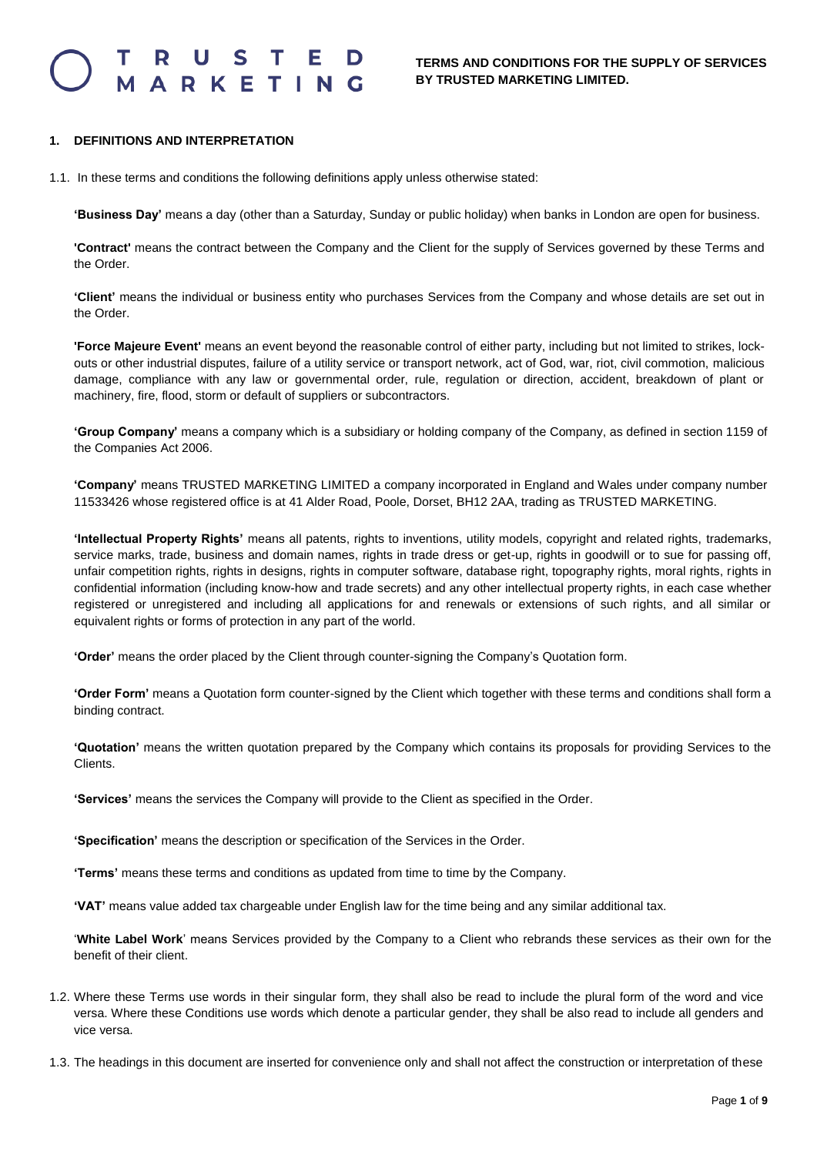### S T E RKETIN

#### **1. DEFINITIONS AND INTERPRETATION**

1.1. In these terms and conditions the following definitions apply unless otherwise stated:

**'Business Day'** means a day (other than a Saturday, Sunday or public holiday) when banks in London are open for business.

**'Contract'** means the contract between the Company and the Client for the supply of Services governed by these Terms and the Order.

**'Client'** means the individual or business entity who purchases Services from the Company and whose details are set out in the Order.

**'Force Majeure Event'** means an event beyond the reasonable control of either party, including but not limited to strikes, lockouts or other industrial disputes, failure of a utility service or transport network, act of God, war, riot, civil commotion, malicious damage, compliance with any law or governmental order, rule, regulation or direction, accident, breakdown of plant or machinery, fire, flood, storm or default of suppliers or subcontractors.

**'Group Company'** means a company which is a subsidiary or holding company of the Company, as defined in section 1159 of the Companies Act 2006.

**'Company'** means TRUSTED MARKETING LIMITED a company incorporated in England and Wales under company number 11533426 whose registered office is at 41 Alder Road, Poole, Dorset, BH12 2AA, trading as TRUSTED MARKETING.

**'Intellectual Property Rights'** means all patents, rights to inventions, utility models, copyright and related rights, trademarks, service marks, trade, business and domain names, rights in trade dress or get-up, rights in goodwill or to sue for passing off, unfair competition rights, rights in designs, rights in computer software, database right, topography rights, moral rights, rights in confidential information (including know-how and trade secrets) and any other intellectual property rights, in each case whether registered or unregistered and including all applications for and renewals or extensions of such rights, and all similar or equivalent rights or forms of protection in any part of the world.

**'Order'** means the order placed by the Client through counter-signing the Company's Quotation form.

**'Order Form'** means a Quotation form counter-signed by the Client which together with these terms and conditions shall form a binding contract.

**'Quotation'** means the written quotation prepared by the Company which contains its proposals for providing Services to the Clients.

**'Services'** means the services the Company will provide to the Client as specified in the Order.

**'Specification'** means the description or specification of the Services in the Order.

**'Terms'** means these terms and conditions as updated from time to time by the Company.

**'VAT'** means value added tax chargeable under English law for the time being and any similar additional tax.

'**White Label Work**' means Services provided by the Company to a Client who rebrands these services as their own for the benefit of their client.

- 1.2. Where these Terms use words in their singular form, they shall also be read to include the plural form of the word and vice versa. Where these Conditions use words which denote a particular gender, they shall be also read to include all genders and vice versa.
- 1.3. The headings in this document are inserted for convenience only and shall not affect the construction or interpretation of these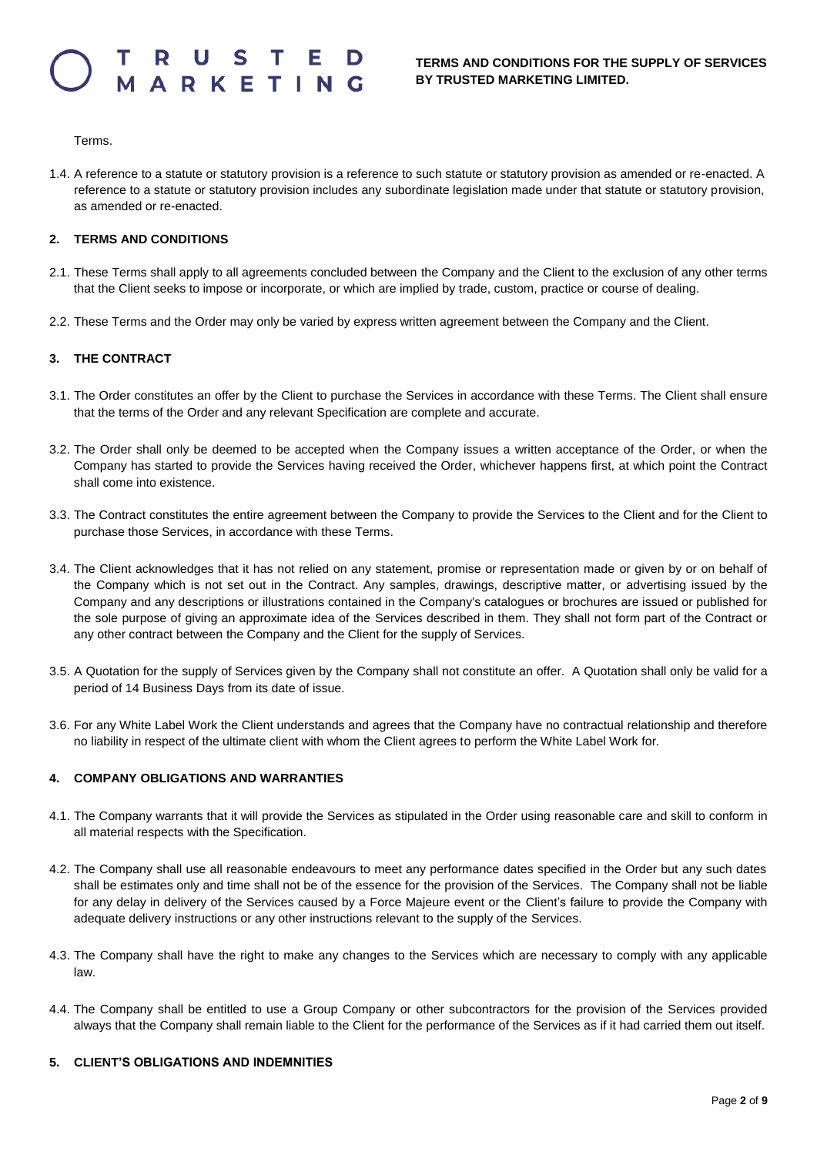Terms.

1.4. A reference to a statute or statutory provision is a reference to such statute or statutory provision as amended or re-enacted. A reference to a statute or statutory provision includes any subordinate legislation made under that statute or statutory provision, as amended or re-enacted.

#### **2. TERMS AND CONDITIONS**

- 2.1. These Terms shall apply to all agreements concluded between the Company and the Client to the exclusion of any other terms that the Client seeks to impose or incorporate, or which are implied by trade, custom, practice or course of dealing.
- 2.2. These Terms and the Order may only be varied by express written agreement between the Company and the Client.

#### **3. THE CONTRACT**

- 3.1. The Order constitutes an offer by the Client to purchase the Services in accordance with these Terms. The Client shall ensure that the terms of the Order and any relevant Specification are complete and accurate.
- 3.2. The Order shall only be deemed to be accepted when the Company issues a written acceptance of the Order, or when the Company has started to provide the Services having received the Order, whichever happens first, at which point the Contract shall come into existence.
- 3.3. The Contract constitutes the entire agreement between the Company to provide the Services to the Client and for the Client to purchase those Services, in accordance with these Terms.
- 3.4. The Client acknowledges that it has not relied on any statement, promise or representation made or given by or on behalf of the Company which is not set out in the Contract. Any samples, drawings, descriptive matter, or advertising issued by the Company and any descriptions or illustrations contained in the Company's catalogues or brochures are issued or published for the sole purpose of giving an approximate idea of the Services described in them. They shall not form part of the Contract or any other contract between the Company and the Client for the supply of Services.
- 3.5. A Quotation for the supply of Services given by the Company shall not constitute an offer. A Quotation shall only be valid for a period of 14 Business Days from its date of issue.
- 3.6. For any White Label Work the Client understands and agrees that the Company have no contractual relationship and therefore no liability in respect of the ultimate client with whom the Client agrees to perform the White Label Work for.

#### **4. COMPANY OBLIGATIONS AND WARRANTIES**

- 4.1. The Company warrants that it will provide the Services as stipulated in the Order using reasonable care and skill to conform in all material respects with the Specification.
- 4.2. The Company shall use all reasonable endeavours to meet any performance dates specified in the Order but any such dates shall be estimates only and time shall not be of the essence for the provision of the Services. The Company shall not be liable for any delay in delivery of the Services caused by a Force Majeure event or the Client's failure to provide the Company with adequate delivery instructions or any other instructions relevant to the supply of the Services.
- 4.3. The Company shall have the right to make any changes to the Services which are necessary to comply with any applicable law.
- 4.4. The Company shall be entitled to use a Group Company or other subcontractors for the provision of the Services provided always that the Company shall remain liable to the Client for the performance of the Services as if it had carried them out itself.

#### **5. CLIENT'S OBLIGATIONS AND INDEMNITIES**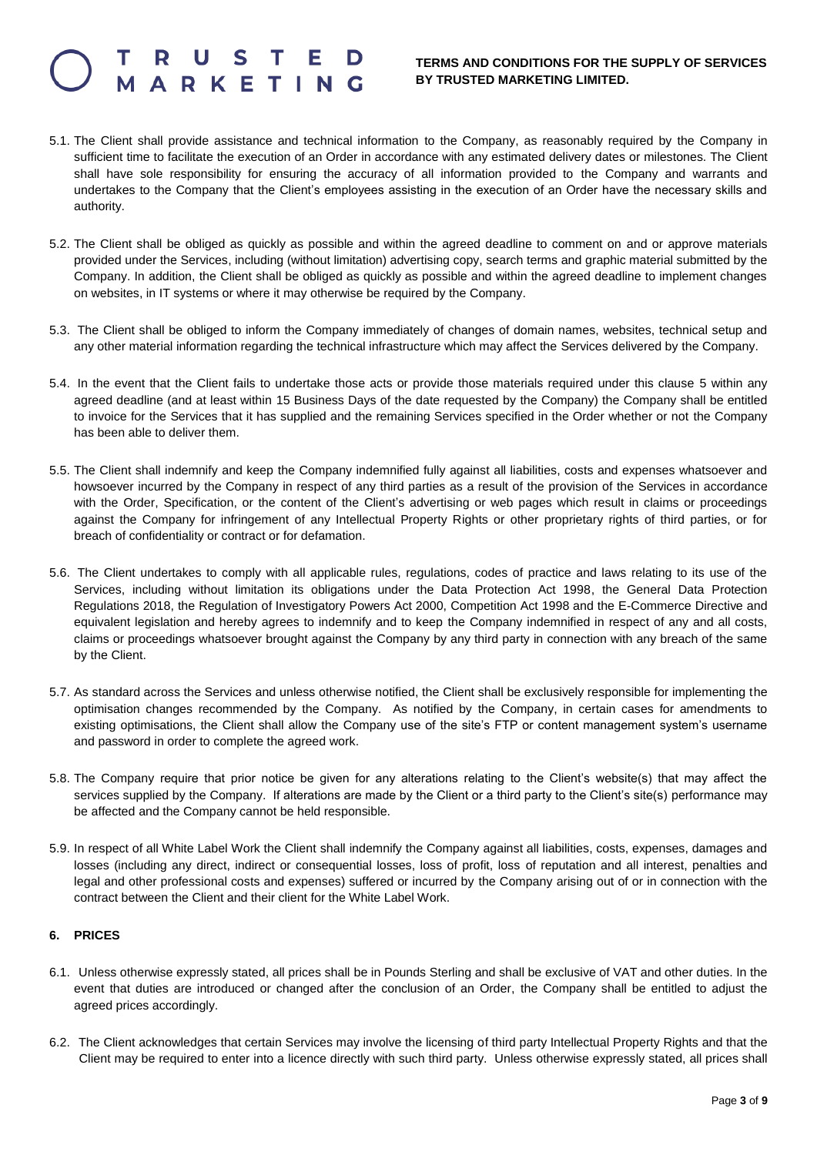# RKETIN

#### **TERMS AND CONDITIONS FOR THE SUPPLY OF SERVICES BY TRUSTED MARKETING LIMITED.**

- 5.1. The Client shall provide assistance and technical information to the Company, as reasonably required by the Company in sufficient time to facilitate the execution of an Order in accordance with any estimated delivery dates or milestones. The Client shall have sole responsibility for ensuring the accuracy of all information provided to the Company and warrants and undertakes to the Company that the Client's employees assisting in the execution of an Order have the necessary skills and authority.
- 5.2. The Client shall be obliged as quickly as possible and within the agreed deadline to comment on and or approve materials provided under the Services, including (without limitation) advertising copy, search terms and graphic material submitted by the Company. In addition, the Client shall be obliged as quickly as possible and within the agreed deadline to implement changes on websites, in IT systems or where it may otherwise be required by the Company.
- 5.3. The Client shall be obliged to inform the Company immediately of changes of domain names, websites, technical setup and any other material information regarding the technical infrastructure which may affect the Services delivered by the Company.
- 5.4. In the event that the Client fails to undertake those acts or provide those materials required under this clause 5 within any agreed deadline (and at least within 15 Business Days of the date requested by the Company) the Company shall be entitled to invoice for the Services that it has supplied and the remaining Services specified in the Order whether or not the Company has been able to deliver them.
- 5.5. The Client shall indemnify and keep the Company indemnified fully against all liabilities, costs and expenses whatsoever and howsoever incurred by the Company in respect of any third parties as a result of the provision of the Services in accordance with the Order, Specification, or the content of the Client's advertising or web pages which result in claims or proceedings against the Company for infringement of any Intellectual Property Rights or other proprietary rights of third parties, or for breach of confidentiality or contract or for defamation.
- 5.6. The Client undertakes to comply with all applicable rules, regulations, codes of practice and laws relating to its use of the Services, including without limitation its obligations under the Data Protection Act 1998, the General Data Protection Regulations 2018, the Regulation of Investigatory Powers Act 2000, Competition Act 1998 and the E-Commerce Directive and equivalent legislation and hereby agrees to indemnify and to keep the Company indemnified in respect of any and all costs, claims or proceedings whatsoever brought against the Company by any third party in connection with any breach of the same by the Client.
- 5.7. As standard across the Services and unless otherwise notified, the Client shall be exclusively responsible for implementing the optimisation changes recommended by the Company. As notified by the Company, in certain cases for amendments to existing optimisations, the Client shall allow the Company use of the site's FTP or content management system's username and password in order to complete the agreed work.
- 5.8. The Company require that prior notice be given for any alterations relating to the Client's website(s) that may affect the services supplied by the Company. If alterations are made by the Client or a third party to the Client's site(s) performance may be affected and the Company cannot be held responsible.
- 5.9. In respect of all White Label Work the Client shall indemnify the Company against all liabilities, costs, expenses, damages and losses (including any direct, indirect or consequential losses, loss of profit, loss of reputation and all interest, penalties and legal and other professional costs and expenses) suffered or incurred by the Company arising out of or in connection with the contract between the Client and their client for the White Label Work.

#### **6. PRICES**

- 6.1. Unless otherwise expressly stated, all prices shall be in Pounds Sterling and shall be exclusive of VAT and other duties. In the event that duties are introduced or changed after the conclusion of an Order, the Company shall be entitled to adjust the agreed prices accordingly.
- 6.2. The Client acknowledges that certain Services may involve the licensing of third party Intellectual Property Rights and that the Client may be required to enter into a licence directly with such third party. Unless otherwise expressly stated, all prices shall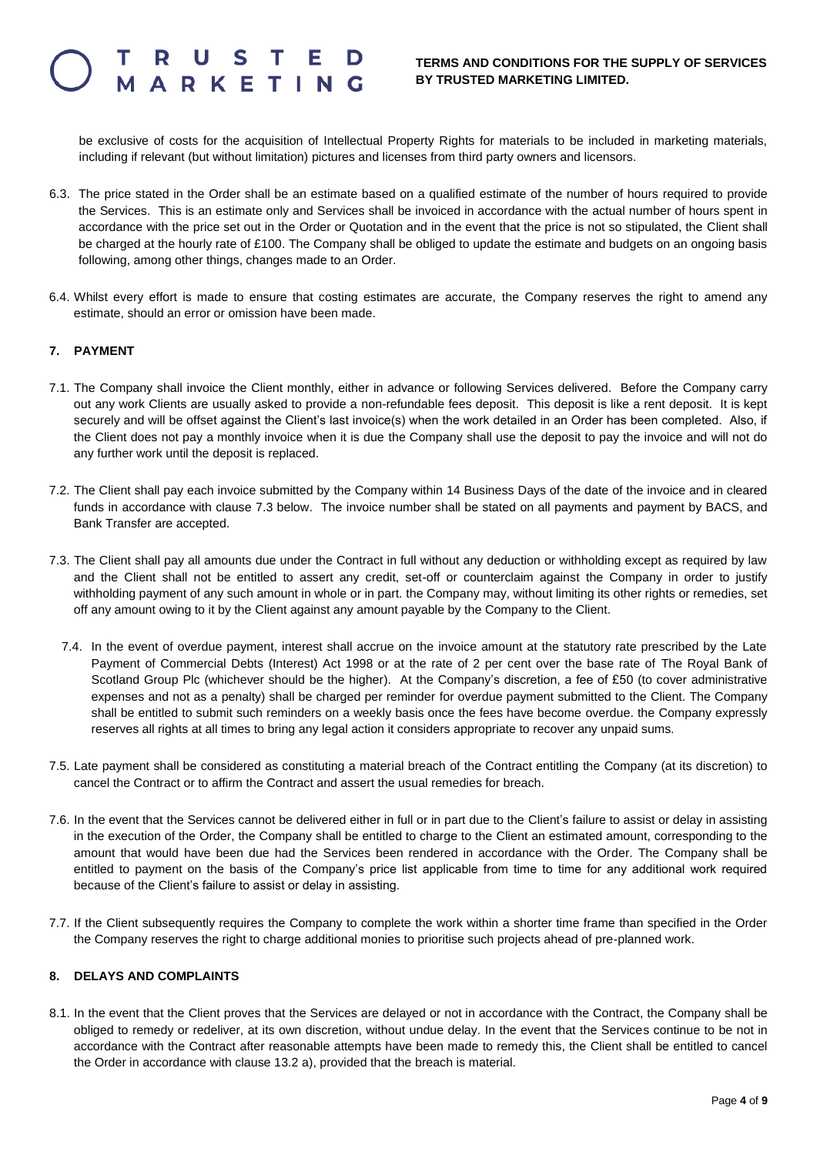be exclusive of costs for the acquisition of Intellectual Property Rights for materials to be included in marketing materials, including if relevant (but without limitation) pictures and licenses from third party owners and licensors.

- 6.3. The price stated in the Order shall be an estimate based on a qualified estimate of the number of hours required to provide the Services. This is an estimate only and Services shall be invoiced in accordance with the actual number of hours spent in accordance with the price set out in the Order or Quotation and in the event that the price is not so stipulated, the Client shall be charged at the hourly rate of £100. The Company shall be obliged to update the estimate and budgets on an ongoing basis following, among other things, changes made to an Order.
- 6.4. Whilst every effort is made to ensure that costing estimates are accurate, the Company reserves the right to amend any estimate, should an error or omission have been made.

#### **7. PAYMENT**

- 7.1. The Company shall invoice the Client monthly, either in advance or following Services delivered. Before the Company carry out any work Clients are usually asked to provide a non-refundable fees deposit. This deposit is like a rent deposit. It is kept securely and will be offset against the Client's last invoice(s) when the work detailed in an Order has been completed. Also, if the Client does not pay a monthly invoice when it is due the Company shall use the deposit to pay the invoice and will not do any further work until the deposit is replaced.
- 7.2. The Client shall pay each invoice submitted by the Company within 14 Business Days of the date of the invoice and in cleared funds in accordance with clause 7.3 below. The invoice number shall be stated on all payments and payment by BACS, and Bank Transfer are accepted.
- 7.3. The Client shall pay all amounts due under the Contract in full without any deduction or withholding except as required by law and the Client shall not be entitled to assert any credit, set-off or counterclaim against the Company in order to justify withholding payment of any such amount in whole or in part. the Company may, without limiting its other rights or remedies, set off any amount owing to it by the Client against any amount payable by the Company to the Client.
	- 7.4. In the event of overdue payment, interest shall accrue on the invoice amount at the statutory rate prescribed by the Late Payment of Commercial Debts (Interest) Act 1998 or at the rate of 2 per cent over the base rate of The Royal Bank of Scotland Group Plc (whichever should be the higher). At the Company's discretion, a fee of £50 (to cover administrative expenses and not as a penalty) shall be charged per reminder for overdue payment submitted to the Client. The Company shall be entitled to submit such reminders on a weekly basis once the fees have become overdue. the Company expressly reserves all rights at all times to bring any legal action it considers appropriate to recover any unpaid sums.
- 7.5. Late payment shall be considered as constituting a material breach of the Contract entitling the Company (at its discretion) to cancel the Contract or to affirm the Contract and assert the usual remedies for breach.
- 7.6. In the event that the Services cannot be delivered either in full or in part due to the Client's failure to assist or delay in assisting in the execution of the Order, the Company shall be entitled to charge to the Client an estimated amount, corresponding to the amount that would have been due had the Services been rendered in accordance with the Order. The Company shall be entitled to payment on the basis of the Company's price list applicable from time to time for any additional work required because of the Client's failure to assist or delay in assisting.
- 7.7. If the Client subsequently requires the Company to complete the work within a shorter time frame than specified in the Order the Company reserves the right to charge additional monies to prioritise such projects ahead of pre-planned work.

### **8. DELAYS AND COMPLAINTS**

8.1. In the event that the Client proves that the Services are delayed or not in accordance with the Contract, the Company shall be obliged to remedy or redeliver, at its own discretion, without undue delay. In the event that the Services continue to be not in accordance with the Contract after reasonable attempts have been made to remedy this, the Client shall be entitled to cancel the Order in accordance with clause 13.2 a), provided that the breach is material.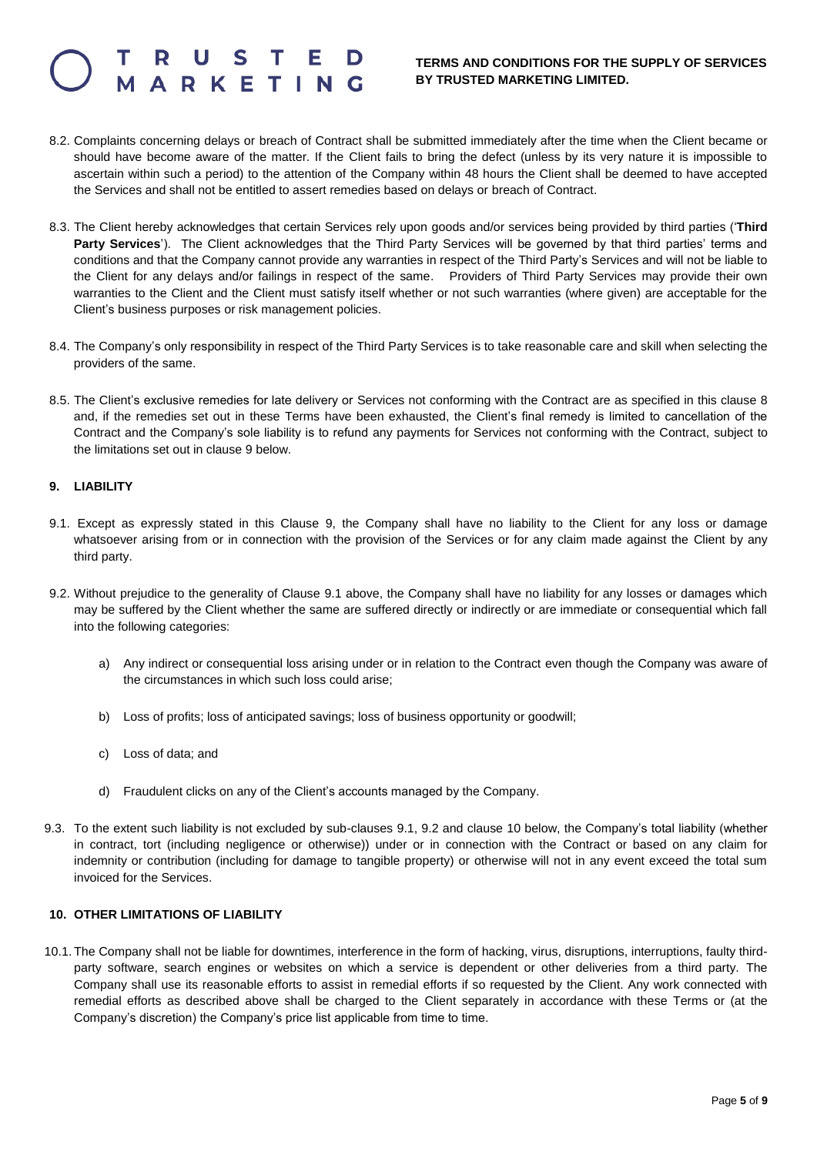### **ARKETIN**

#### **TERMS AND CONDITIONS FOR THE SUPPLY OF SERVICES BY TRUSTED MARKETING LIMITED.**

- 8.2. Complaints concerning delays or breach of Contract shall be submitted immediately after the time when the Client became or should have become aware of the matter. If the Client fails to bring the defect (unless by its very nature it is impossible to ascertain within such a period) to the attention of the Company within 48 hours the Client shall be deemed to have accepted the Services and shall not be entitled to assert remedies based on delays or breach of Contract.
- 8.3. The Client hereby acknowledges that certain Services rely upon goods and/or services being provided by third parties ('**Third Party Services**'). The Client acknowledges that the Third Party Services will be governed by that third parties' terms and conditions and that the Company cannot provide any warranties in respect of the Third Party's Services and will not be liable to the Client for any delays and/or failings in respect of the same. Providers of Third Party Services may provide their own warranties to the Client and the Client must satisfy itself whether or not such warranties (where given) are acceptable for the Client's business purposes or risk management policies.
- 8.4. The Company's only responsibility in respect of the Third Party Services is to take reasonable care and skill when selecting the providers of the same.
- 8.5. The Client's exclusive remedies for late delivery or Services not conforming with the Contract are as specified in this clause 8 and, if the remedies set out in these Terms have been exhausted, the Client's final remedy is limited to cancellation of the Contract and the Company's sole liability is to refund any payments for Services not conforming with the Contract, subject to the limitations set out in clause 9 below.

#### **9. LIABILITY**

- 9.1. Except as expressly stated in this Clause 9, the Company shall have no liability to the Client for any loss or damage whatsoever arising from or in connection with the provision of the Services or for any claim made against the Client by any third party.
- 9.2. Without prejudice to the generality of Clause 9.1 above, the Company shall have no liability for any losses or damages which may be suffered by the Client whether the same are suffered directly or indirectly or are immediate or consequential which fall into the following categories:
	- a) Any indirect or consequential loss arising under or in relation to the Contract even though the Company was aware of the circumstances in which such loss could arise;
	- b) Loss of profits; loss of anticipated savings; loss of business opportunity or goodwill;
	- c) Loss of data; and
	- d) Fraudulent clicks on any of the Client's accounts managed by the Company.
- 9.3. To the extent such liability is not excluded by sub-clauses 9.1, 9.2 and clause 10 below, the Company's total liability (whether in contract, tort (including negligence or otherwise)) under or in connection with the Contract or based on any claim for indemnity or contribution (including for damage to tangible property) or otherwise will not in any event exceed the total sum invoiced for the Services.

#### **10. OTHER LIMITATIONS OF LIABILITY**

10.1. The Company shall not be liable for downtimes, interference in the form of hacking, virus, disruptions, interruptions, faulty thirdparty software, search engines or websites on which a service is dependent or other deliveries from a third party. The Company shall use its reasonable efforts to assist in remedial efforts if so requested by the Client. Any work connected with remedial efforts as described above shall be charged to the Client separately in accordance with these Terms or (at the Company's discretion) the Company's price list applicable from time to time.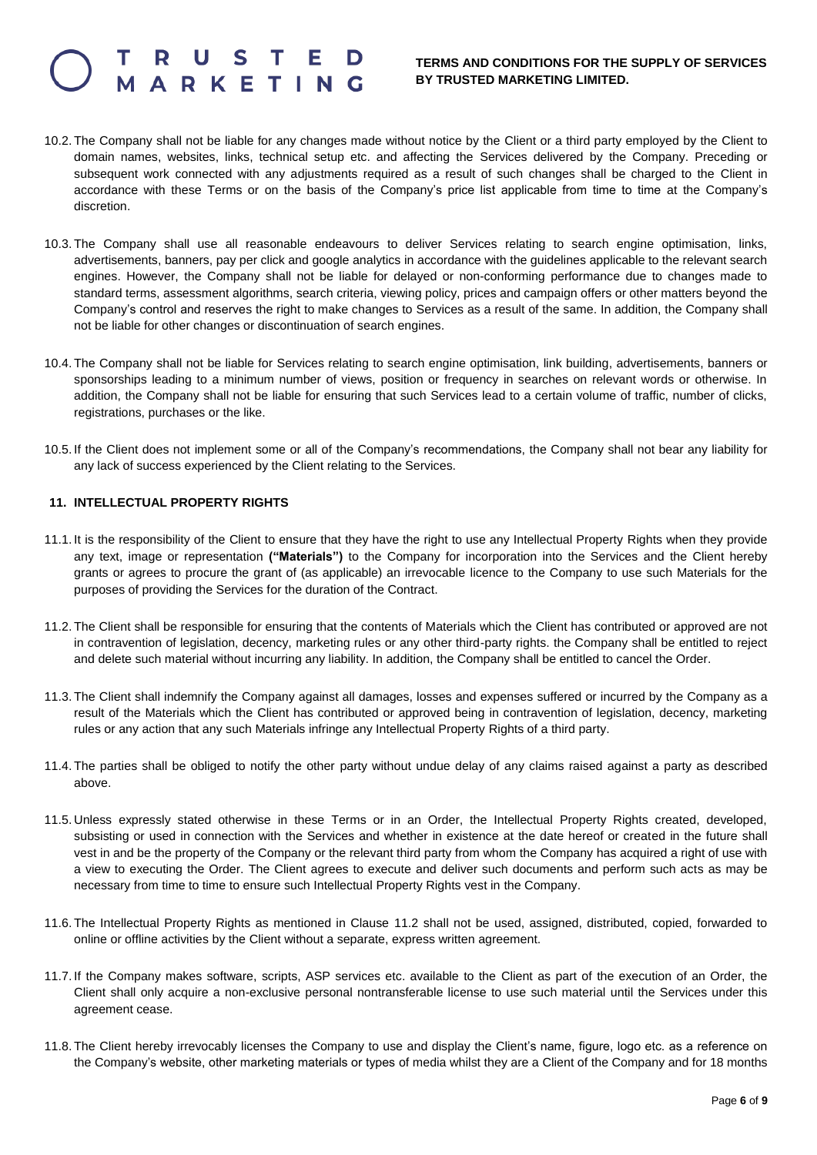### **ARKETIN**

#### **TERMS AND CONDITIONS FOR THE SUPPLY OF SERVICES BY TRUSTED MARKETING LIMITED.**

- 10.2. The Company shall not be liable for any changes made without notice by the Client or a third party employed by the Client to domain names, websites, links, technical setup etc. and affecting the Services delivered by the Company. Preceding or subsequent work connected with any adjustments required as a result of such changes shall be charged to the Client in accordance with these Terms or on the basis of the Company's price list applicable from time to time at the Company's discretion.
- 10.3. The Company shall use all reasonable endeavours to deliver Services relating to search engine optimisation, links, advertisements, banners, pay per click and google analytics in accordance with the guidelines applicable to the relevant search engines. However, the Company shall not be liable for delayed or non-conforming performance due to changes made to standard terms, assessment algorithms, search criteria, viewing policy, prices and campaign offers or other matters beyond the Company's control and reserves the right to make changes to Services as a result of the same. In addition, the Company shall not be liable for other changes or discontinuation of search engines.
- 10.4. The Company shall not be liable for Services relating to search engine optimisation, link building, advertisements, banners or sponsorships leading to a minimum number of views, position or frequency in searches on relevant words or otherwise. In addition, the Company shall not be liable for ensuring that such Services lead to a certain volume of traffic, number of clicks, registrations, purchases or the like.
- 10.5. If the Client does not implement some or all of the Company's recommendations, the Company shall not bear any liability for any lack of success experienced by the Client relating to the Services.

#### **11. INTELLECTUAL PROPERTY RIGHTS**

- 11.1. It is the responsibility of the Client to ensure that they have the right to use any Intellectual Property Rights when they provide any text, image or representation **("Materials")** to the Company for incorporation into the Services and the Client hereby grants or agrees to procure the grant of (as applicable) an irrevocable licence to the Company to use such Materials for the purposes of providing the Services for the duration of the Contract.
- 11.2. The Client shall be responsible for ensuring that the contents of Materials which the Client has contributed or approved are not in contravention of legislation, decency, marketing rules or any other third-party rights. the Company shall be entitled to reject and delete such material without incurring any liability. In addition, the Company shall be entitled to cancel the Order.
- 11.3. The Client shall indemnify the Company against all damages, losses and expenses suffered or incurred by the Company as a result of the Materials which the Client has contributed or approved being in contravention of legislation, decency, marketing rules or any action that any such Materials infringe any Intellectual Property Rights of a third party.
- 11.4. The parties shall be obliged to notify the other party without undue delay of any claims raised against a party as described above.
- 11.5. Unless expressly stated otherwise in these Terms or in an Order, the Intellectual Property Rights created, developed, subsisting or used in connection with the Services and whether in existence at the date hereof or created in the future shall vest in and be the property of the Company or the relevant third party from whom the Company has acquired a right of use with a view to executing the Order. The Client agrees to execute and deliver such documents and perform such acts as may be necessary from time to time to ensure such Intellectual Property Rights vest in the Company.
- 11.6. The Intellectual Property Rights as mentioned in Clause 11.2 shall not be used, assigned, distributed, copied, forwarded to online or offline activities by the Client without a separate, express written agreement.
- 11.7. If the Company makes software, scripts, ASP services etc. available to the Client as part of the execution of an Order, the Client shall only acquire a non-exclusive personal nontransferable license to use such material until the Services under this agreement cease.
- 11.8. The Client hereby irrevocably licenses the Company to use and display the Client's name, figure, logo etc. as a reference on the Company's website, other marketing materials or types of media whilst they are a Client of the Company and for 18 months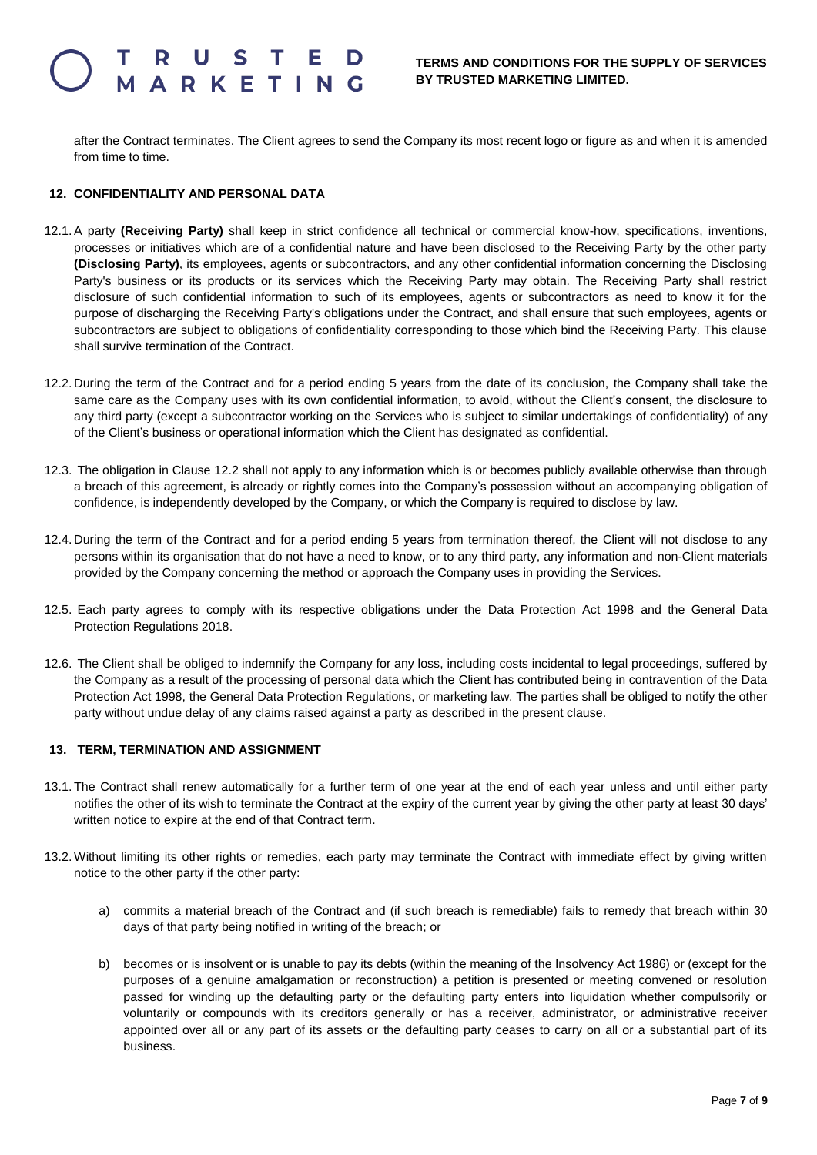# RKETIN

after the Contract terminates. The Client agrees to send the Company its most recent logo or figure as and when it is amended from time to time.

#### **12. CONFIDENTIALITY AND PERSONAL DATA**

- 12.1.A party **(Receiving Party)** shall keep in strict confidence all technical or commercial know-how, specifications, inventions, processes or initiatives which are of a confidential nature and have been disclosed to the Receiving Party by the other party **(Disclosing Party)**, its employees, agents or subcontractors, and any other confidential information concerning the Disclosing Party's business or its products or its services which the Receiving Party may obtain. The Receiving Party shall restrict disclosure of such confidential information to such of its employees, agents or subcontractors as need to know it for the purpose of discharging the Receiving Party's obligations under the Contract, and shall ensure that such employees, agents or subcontractors are subject to obligations of confidentiality corresponding to those which bind the Receiving Party. This clause shall survive termination of the Contract.
- 12.2. During the term of the Contract and for a period ending 5 years from the date of its conclusion, the Company shall take the same care as the Company uses with its own confidential information, to avoid, without the Client's consent, the disclosure to any third party (except a subcontractor working on the Services who is subject to similar undertakings of confidentiality) of any of the Client's business or operational information which the Client has designated as confidential.
- 12.3. The obligation in Clause 12.2 shall not apply to any information which is or becomes publicly available otherwise than through a breach of this agreement, is already or rightly comes into the Company's possession without an accompanying obligation of confidence, is independently developed by the Company, or which the Company is required to disclose by law.
- 12.4. During the term of the Contract and for a period ending 5 years from termination thereof, the Client will not disclose to any persons within its organisation that do not have a need to know, or to any third party, any information and non-Client materials provided by the Company concerning the method or approach the Company uses in providing the Services.
- 12.5. Each party agrees to comply with its respective obligations under the Data Protection Act 1998 and the General Data Protection Regulations 2018.
- 12.6. The Client shall be obliged to indemnify the Company for any loss, including costs incidental to legal proceedings, suffered by the Company as a result of the processing of personal data which the Client has contributed being in contravention of the Data Protection Act 1998, the General Data Protection Regulations, or marketing law. The parties shall be obliged to notify the other party without undue delay of any claims raised against a party as described in the present clause.

#### **13. TERM, TERMINATION AND ASSIGNMENT**

- 13.1. The Contract shall renew automatically for a further term of one year at the end of each year unless and until either party notifies the other of its wish to terminate the Contract at the expiry of the current year by giving the other party at least 30 days' written notice to expire at the end of that Contract term.
- 13.2. Without limiting its other rights or remedies, each party may terminate the Contract with immediate effect by giving written notice to the other party if the other party:
	- a) commits a material breach of the Contract and (if such breach is remediable) fails to remedy that breach within 30 days of that party being notified in writing of the breach; or
	- b) becomes or is insolvent or is unable to pay its debts (within the meaning of the Insolvency Act 1986) or (except for the purposes of a genuine amalgamation or reconstruction) a petition is presented or meeting convened or resolution passed for winding up the defaulting party or the defaulting party enters into liquidation whether compulsorily or voluntarily or compounds with its creditors generally or has a receiver, administrator, or administrative receiver appointed over all or any part of its assets or the defaulting party ceases to carry on all or a substantial part of its business.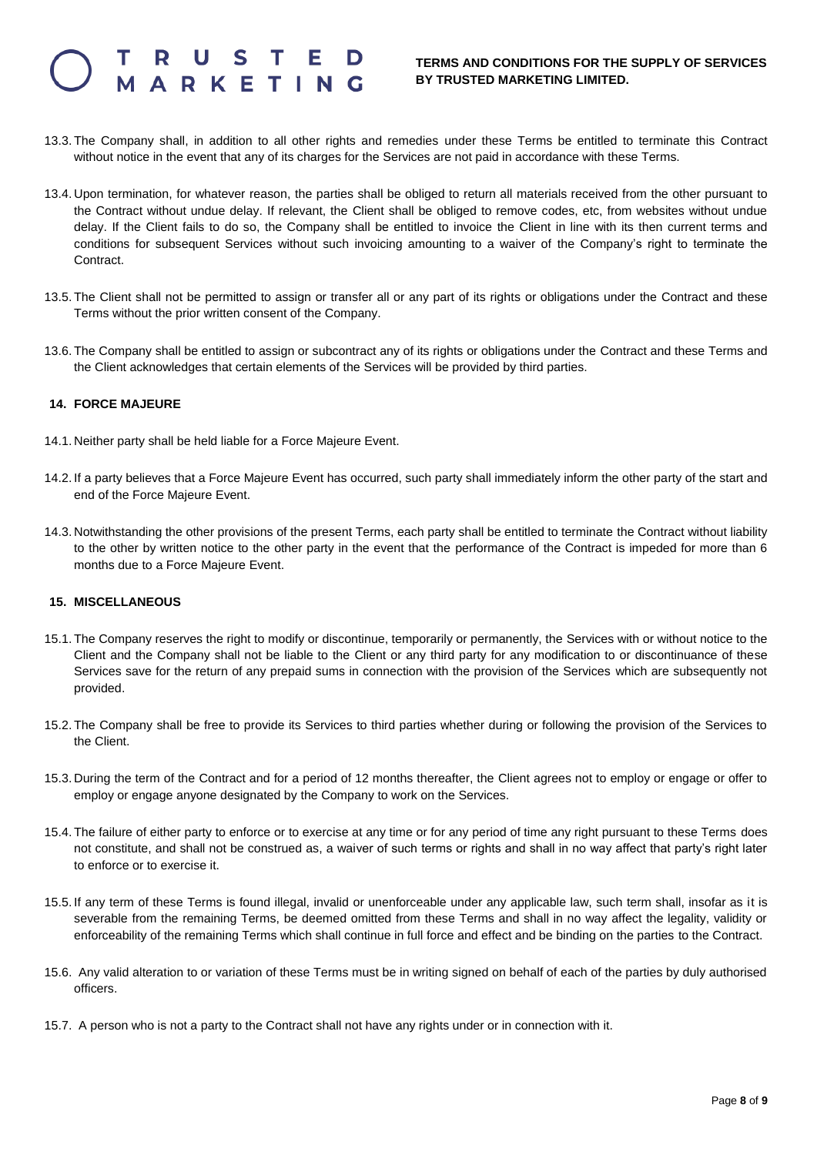### RKETIN

- 13.3. The Company shall, in addition to all other rights and remedies under these Terms be entitled to terminate this Contract without notice in the event that any of its charges for the Services are not paid in accordance with these Terms.
- 13.4. Upon termination, for whatever reason, the parties shall be obliged to return all materials received from the other pursuant to the Contract without undue delay. If relevant, the Client shall be obliged to remove codes, etc, from websites without undue delay. If the Client fails to do so, the Company shall be entitled to invoice the Client in line with its then current terms and conditions for subsequent Services without such invoicing amounting to a waiver of the Company's right to terminate the Contract.
- 13.5. The Client shall not be permitted to assign or transfer all or any part of its rights or obligations under the Contract and these Terms without the prior written consent of the Company.
- 13.6. The Company shall be entitled to assign or subcontract any of its rights or obligations under the Contract and these Terms and the Client acknowledges that certain elements of the Services will be provided by third parties.

#### **14. FORCE MAJEURE**

- 14.1. Neither party shall be held liable for a Force Majeure Event.
- 14.2. If a party believes that a Force Majeure Event has occurred, such party shall immediately inform the other party of the start and end of the Force Majeure Event.
- 14.3. Notwithstanding the other provisions of the present Terms, each party shall be entitled to terminate the Contract without liability to the other by written notice to the other party in the event that the performance of the Contract is impeded for more than 6 months due to a Force Majeure Event.

#### **15. MISCELLANEOUS**

- 15.1. The Company reserves the right to modify or discontinue, temporarily or permanently, the Services with or without notice to the Client and the Company shall not be liable to the Client or any third party for any modification to or discontinuance of these Services save for the return of any prepaid sums in connection with the provision of the Services which are subsequently not provided.
- 15.2. The Company shall be free to provide its Services to third parties whether during or following the provision of the Services to the Client.
- 15.3. During the term of the Contract and for a period of 12 months thereafter, the Client agrees not to employ or engage or offer to employ or engage anyone designated by the Company to work on the Services.
- 15.4. The failure of either party to enforce or to exercise at any time or for any period of time any right pursuant to these Terms does not constitute, and shall not be construed as, a waiver of such terms or rights and shall in no way affect that party's right later to enforce or to exercise it.
- 15.5. If any term of these Terms is found illegal, invalid or unenforceable under any applicable law, such term shall, insofar as it is severable from the remaining Terms, be deemed omitted from these Terms and shall in no way affect the legality, validity or enforceability of the remaining Terms which shall continue in full force and effect and be binding on the parties to the Contract.
- 15.6. Any valid alteration to or variation of these Terms must be in writing signed on behalf of each of the parties by duly authorised officers.
- 15.7. A person who is not a party to the Contract shall not have any rights under or in connection with it.